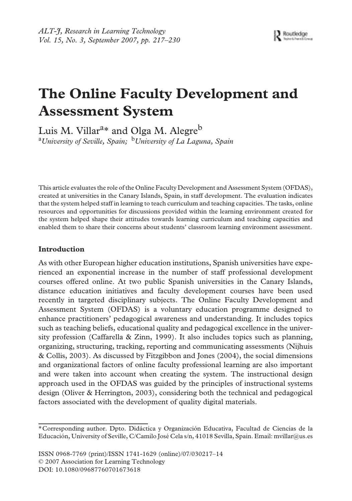# **The Online Faculty Development and Assessment System**

Luis M. Villar<sup>a</sup>\* and Olga M. Alegre<sup>b</sup> a *University of Seville, Spain;* b*University of La Laguna, Spain*

This article evaluates the role of the Online Faculty Development and Assessment System (OFDAS), created at universities in the Canary Islands, Spain, in staff development. The evaluation indicates that the system helped staff in learning to teach curriculum and teaching capacities. The tasks, online resources and opportunities for discussions provided within the learning environment created for the system helped shape their attitudes towards learning curriculum and teaching capacities and enabled them to share their concerns about students' classroom learning environment assessment.

## **Introduction**

As with other European higher education institutions, Spanish universities have experienced an exponential increase in the number of staff professional development courses offered online. At two public Spanish universities in the Canary Islands, distance education initiatives and faculty development courses have been used recently in targeted disciplinary subjects. The Online Faculty Development and Assessment System (OFDAS) is a voluntary education programme designed to enhance practitioners' pedagogical awareness and understanding. It includes topics such as teaching beliefs, educational quality and pedagogical excellence in the university profession (Caffarella & Zinn, 1999). It also includes topics such as planning, organizing, structuring, tracking, reporting and communicating assessments (Nijhuis & Collis, 2003). As discussed by Fitzgibbon and Jones (2004), the social dimensions and organizational factors of online faculty professional learning are also important and were taken into account when creating the system. The instructional design approach used in the OFDAS was guided by the principles of instructional systems design (Oliver & Herrington, 2003), considering both the technical and pedagogical factors associated with the development of quality digital materials.

ISSN 0968-7769 (print)/ISSN 1741-1629 (online)/07/030217–14 © 2007 Association for Learning Technology DOI: 10.1080/09687760701673618

<sup>\*</sup>Corresponding author. Dpto. Didáctica y Organización Educativa, Facultad de Ciencias de la Educación, University of Seville, C/Camilo José Cela s/n, 41018 Sevilla, Spain. Email: mvillar@us.es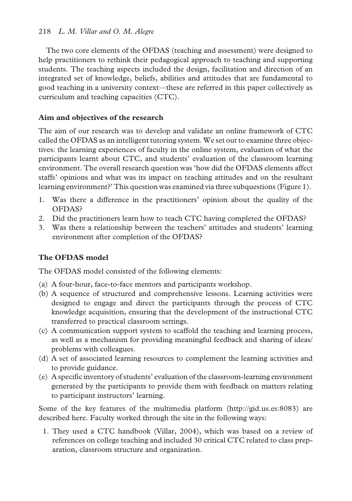The two core elements of the OFDAS (teaching and assessment) were designed to help practitioners to rethink their pedagogical approach to teaching and supporting students. The teaching aspects included the design, facilitation and direction of an integrated set of knowledge, beliefs, abilities and attitudes that are fundamental to good teaching in a university context—these are referred in this paper collectively as curriculum and teaching capacities (CTC).

## **Aim and objectives of the research**

The aim of our research was to develop and validate an online framework of CTC called the OFDAS as an intelligent tutoring system. We set out to examine three objectives: the learning experiences of faculty in the online system, evaluation of what the participants learnt about CTC, and students' evaluation of the classroom learning environment. The overall research question was 'how did the OFDAS elements affect staffs' opinions and what was its impact on teaching attitudes and on the resultant learning environment?' This question was examined via three subquestions (Figure 1).

- 1. Was there a difference in the practitioners' opinion about the quality of the OFDAS?
- 2. Did the practitioners learn how to teach CTC having completed the OFDAS?
- 3. Was there a relationship between the teachers' attitudes and students' learning environment after completion of the OFDAS?

## **The OFDAS model**

The OFDAS model consisted of the following elements:

- (a) A four-hour, face-to-face mentors and participants workshop.
- (b) A sequence of structured and comprehensive lessons. Learning activities were designed to engage and direct the participants through the process of CTC knowledge acquisition, ensuring that the development of the instructional CTC transferred to practical classroom settings.
- (c) A communication support system to scaffold the teaching and learning process, as well as a mechanism for providing meaningful feedback and sharing of ideas/ problems with colleagues.
- (d) A set of associated learning resources to complement the learning activities and to provide guidance.
- (e) A specific inventory of students' evaluation of the classroom-learning environment generated by the participants to provide them with feedback on matters relating to participant instructors' learning.

Some of the key features of the multimedia platform (http://gid.us.es:8083) are described here. Faculty worked through the site in the following ways:

1. They used a CTC handbook (Villar, 2004), which was based on a review of references on college teaching and included 30 critical CTC related to class preparation, classroom structure and organization.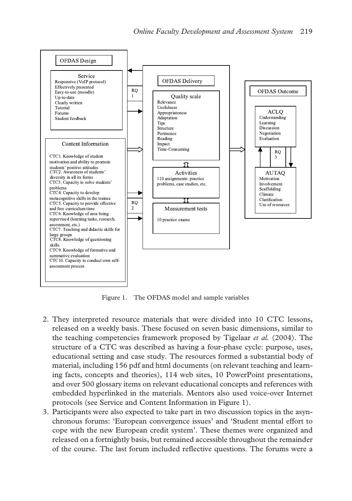

Figure 1. The OFDAS model and sample variables

- 2. They interpreted resource materials that were divided into 10 CTC lessons, released on a weekly basis. These focused on seven basic dimensions, similar to the teaching competencies framework proposed by Tigelaar *et al.* (2004). The structure of a CTC was described as having a four-phase cycle: purpose, uses, educational setting and case study. The resources formed a substantial body of material, including 156 pdf and html documents (on relevant teaching and learning facts, concepts and theories), 114 web sites, 10 PowerPoint presentations, and over 500 glossary items on relevant educational concepts and references with embedded hyperlinked in the materials. Mentors also used voice-over Internet protocols (see Service and Content Information in Figure 1).
- 3. Participants were also expected to take part in two discussion topics in the asynchronous forums: 'European convergence issues' and 'Student mental effort to cope with the new European credit system'. These themes were organized and released on a fortnightly basis, but remained accessible throughout the remainder of the course. The last forum included reflective questions. The forums were a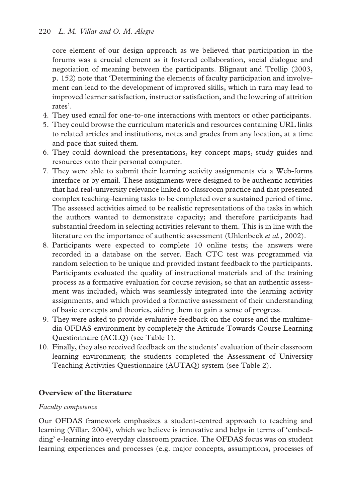core element of our design approach as we believed that participation in the forums was a crucial element as it fostered collaboration, social dialogue and negotiation of meaning between the participants. Blignaut and Trollip (2003, p. 152) note that 'Determining the elements of faculty participation and involvement can lead to the development of improved skills, which in turn may lead to improved learner satisfaction, instructor satisfaction, and the lowering of attrition rates'.

- 4. They used email for one-to-one interactions with mentors or other participants.
- 5. They could browse the curriculum materials and resources containing URL links to related articles and institutions, notes and grades from any location, at a time and pace that suited them.
- 6. They could download the presentations, key concept maps, study guides and resources onto their personal computer.
- 7. They were able to submit their learning activity assignments via a Web-forms interface or by email. These assignments were designed to be authentic activities that had real-university relevance linked to classroom practice and that presented complex teaching–learning tasks to be completed over a sustained period of time. The assessed activities aimed to be realistic representations of the tasks in which the authors wanted to demonstrate capacity; and therefore participants had substantial freedom in selecting activities relevant to them. This is in line with the literature on the importance of authentic assessment (Uhlenbeck *et al.*, 2002).
- 8. Participants were expected to complete 10 online tests; the answers were recorded in a database on the server. Each CTC test was programmed via random selection to be unique and provided instant feedback to the participants. Participants evaluated the quality of instructional materials and of the training process as a formative evaluation for course revision, so that an authentic assessment was included, which was seamlessly integrated into the learning activity assignments, and which provided a formative assessment of their understanding of basic concepts and theories, aiding them to gain a sense of progress.
- 9. They were asked to provide evaluative feedback on the course and the multimedia OFDAS environment by completely the Attitude Towards Course Learning Questionnaire (ACLQ) (see Table 1).
- 10. Finally, they also received feedback on the students' evaluation of their classroom learning environment; the students completed the Assessment of University Teaching Activities Questionnaire (AUTAQ) system (see Table 2).

## **Overview of the literature**

## *Faculty competence*

Our OFDAS framework emphasizes a student-centred approach to teaching and learning (Villar, 2004), which we believe is innovative and helps in terms of 'embedding' e-learning into everyday classroom practice. The OFDAS focus was on student learning experiences and processes (e.g. major concepts, assumptions, processes of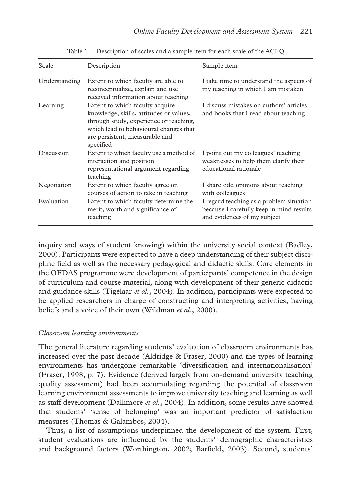| Scale         | Description                                                                                                                                                                                                   | Sample item                                                                                                         |
|---------------|---------------------------------------------------------------------------------------------------------------------------------------------------------------------------------------------------------------|---------------------------------------------------------------------------------------------------------------------|
| Understanding | Extent to which faculty are able to<br>reconceptualize, explain and use<br>received information about teaching                                                                                                | I take time to understand the aspects of<br>my teaching in which I am mistaken                                      |
| Learning      | Extent to which faculty acquire<br>knowledge, skills, attitudes or values,<br>through study, experience or teaching,<br>which lead to behavioural changes that<br>are persistent, measurable and<br>specified | I discuss mistakes on authors' articles<br>and books that I read about teaching                                     |
| Discussion    | Extent to which faculty use a method of<br>interaction and position<br>representational argument regarding<br>teaching                                                                                        | I point out my colleagues' teaching<br>weaknesses to help them clarify their<br>educational rationale               |
| Negotiation   | Extent to which faculty agree on<br>courses of action to take in teaching                                                                                                                                     | I share odd opinions about teaching<br>with colleagues                                                              |
| Evaluation    | Extent to which faculty determine the<br>merit, worth and significance of<br>teaching                                                                                                                         | I regard teaching as a problem situation<br>because I carefully keep in mind results<br>and evidences of my subject |

Table 1. Description of scales and a sample item for each scale of the ACLQ

inquiry and ways of student knowing) within the university social context (Badley, 2000). Participants were expected to have a deep understanding of their subject discipline field as well as the necessary pedagogical and didactic skills. Core elements in the OFDAS programme were development of participants' competence in the design of curriculum and course material, along with development of their generic didactic and guidance skills (Tigelaar *et al.*, 2004). In addition, participants were expected to be applied researchers in charge of constructing and interpreting activities, having beliefs and a voice of their own (Wildman *et al.*, 2000).

#### *Classroom learning environments*

The general literature regarding students' evaluation of classroom environments has increased over the past decade (Aldridge & Fraser, 2000) and the types of learning environments has undergone remarkable 'diversification and internationalisation' (Fraser, 1998, p. 7). Evidence (derived largely from on-demand university teaching quality assessment) had been accumulating regarding the potential of classroom learning environment assessments to improve university teaching and learning as well as staff development (Dallimore *et al.*, 2004). In addition, some results have showed that students' 'sense of belonging' was an important predictor of satisfaction measures (Thomas & Galambos, 2004).

Thus, a list of assumptions underpinned the development of the system. First, student evaluations are influenced by the students' demographic characteristics and background factors (Worthington, 2002; Barfield, 2003). Second, students'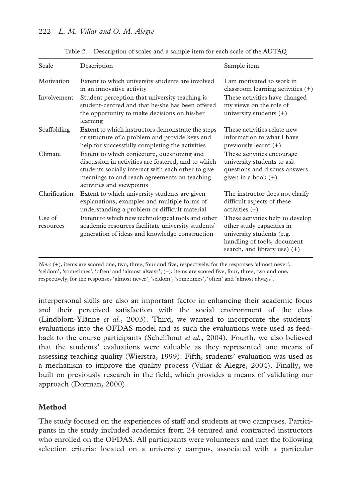| Scale               | Description                                                                                                                                                                                                                           | Sample item                                                                                                                                               |
|---------------------|---------------------------------------------------------------------------------------------------------------------------------------------------------------------------------------------------------------------------------------|-----------------------------------------------------------------------------------------------------------------------------------------------------------|
| Motivation          | Extent to which university students are involved<br>in an innovative activity                                                                                                                                                         | I am motivated to work in<br>classroom learning activities $(+)$                                                                                          |
| Involvement         | Student perception that university teaching is<br>student-centred and that he/she has been offered<br>the opportunity to make decisions on his/her<br>learning                                                                        | These activities have changed<br>my views on the role of<br>university students $(+)$                                                                     |
| Scaffolding         | Extent to which instructors demonstrate the steps<br>or structure of a problem and provide keys and<br>help for successfully completing the activities                                                                                | These activities relate new<br>information to what I have<br>previously learnt $(+)$                                                                      |
| Climate             | Extent to which conjecture, questioning and<br>discussion in activities are fostered, and to which<br>students socially interact with each other to give<br>meanings to and reach agreements on teaching<br>activities and viewpoints | These activities encourage.<br>university students to ask<br>questions and discuss answers<br>given in a book $(+)$                                       |
| Clarification       | Extent to which university students are given<br>explanations, examples and multiple forms of<br>understanding a problem or difficult material                                                                                        | The instructor does not clarify<br>difficult aspects of these<br>activities $(-)$                                                                         |
| Use of<br>resources | Extent to which new technological tools and other<br>academic resources facilitate university students'<br>generation of ideas and knowledge construction                                                                             | These activities help to develop<br>other study capacities in<br>university students (e.g.<br>handling of tools, document<br>search, and library use) (+) |

Table 2. Description of scales and a sample item for each scale of the AUTAQ

222 *L. M. Villar and O. M. Alegre*

*Note*: (+), items are scored one, two, three, four and five, respectively, for the responses 'almost never', 'seldom', 'sometimes', 'often' and 'almost always'; (−), items are scored five, four, three, two and one, respectively, for the responses 'almost never', 'seldom', 'sometimes', 'often' and 'almost always'.

interpersonal skills are also an important factor in enhancing their academic focus and their perceived satisfaction with the social environment of the class (Lindblom-Ylänne *et al.*, 2003). Third, we wanted to incorporate the students' evaluations into the OFDAS model and as such the evaluations were used as feedback to the course participants (Schelfhout *et al.*, 2004). Fourth, we also believed that the students' evaluations were valuable as they represented one means of assessing teaching quality (Wierstra, 1999). Fifth, students' evaluation was used as a mechanism to improve the quality process (Villar & Alegre, 2004). Finally, we built on previously research in the field, which provides a means of validating our approach (Dorman, 2000).

## **Method**

The study focused on the experiences of staff and students at two campuses. Participants in the study included academics from 24 tenured and contracted instructors who enrolled on the OFDAS. All participants were volunteers and met the following selection criteria: located on a university campus, associated with a particular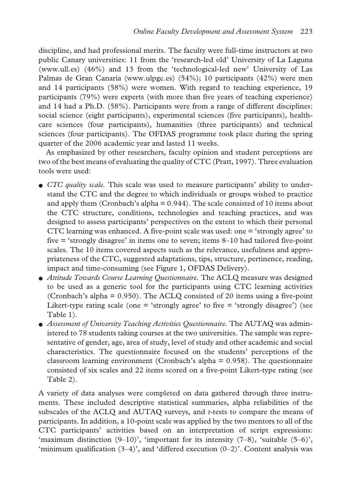discipline, and had professional merits. The faculty were full-time instructors at two public Canary universities: 11 from the 'research-led old' University of La Laguna (www.ull.es) (46%) and 13 from the 'technological-led new' University of Las Palmas de Gran Canaria (www.ulpgc.es) (54%); 10 participants (42%) were men and 14 participants (58%) were women. With regard to teaching experience, 19 participants (79%) were experts (with more than five years of teaching experience) and 14 had a Ph.D. (58%). Participants were from a range of different disciplines: social science (eight participants), experimental sciences (five participants), healthcare sciences (four participants), humanities (three participants) and technical sciences (four participants). The OFDAS programme took place during the spring quarter of the 2006 academic year and lasted 11 weeks.

As emphasized by other researchers, faculty opinion and student perceptions are two of the best means of evaluating the quality of CTC (Pratt, 1997). Three evaluation tools were used:

- *CTC quality scale.* This scale was used to measure participants' ability to understand the CTC and the degree to which individuals or groups wished to practice and apply them (Cronbach's alpha  $= 0.944$ ). The scale consisted of 10 items about the CTC structure, conditions, technologies and teaching practices, and was designed to assess participants' perspectives on the extent to which their personal CTC learning was enhanced. A five-point scale was used: one = 'strongly agree' to five = 'strongly disagree' in items one to seven; items 8–10 had tailored five-point scales. The 10 items covered aspects such as the relevance, usefulness and appropriateness of the CTC, suggested adaptations, tips, structure, pertinence, reading, impact and time-consuming (see Figure 1, OFDAS Delivery).
- *Attitude Towards Course Learning Questionnaire.* The ACLQ measure was designed to be used as a generic tool for the participants using CTC learning activities (Cronbach's alpha = 0.950). The ACLQ consisted of 20 items using a five-point Likert-type rating scale (one  $=$  'strongly agree' to five  $=$  'strongly disagree') (see Table 1).
- *Assessment of University Teaching Activities Questionnaire.* The AUTAQ was administered to 78 students taking courses at the two universities. The sample was representative of gender, age, area of study, level of study and other academic and social characteristics. The questionnaire focused on the students' perceptions of the classroom learning environment (Cronbach's alpha = 0.958). The questionnaire consisted of six scales and 22 items scored on a five-point Likert-type rating (see Table 2).

A variety of data analyses were completed on data gathered through three instruments. These included descriptive statistical summaries, alpha reliabilities of the subscales of the ACLQ and AUTAQ surveys, and *t*-tests to compare the means of participants. In addition, a 10-point scale was applied by the two mentors to all of the CTC participants' activities based on an interpretation of script expressions: 'maximum distinction  $(9-10)$ ', 'important for its intensity  $(7-8)$ , 'suitable  $(5-6)$ ', 'minimum qualification  $(3-4)$ ', and 'differed execution  $(0-2)$ '. Content analysis was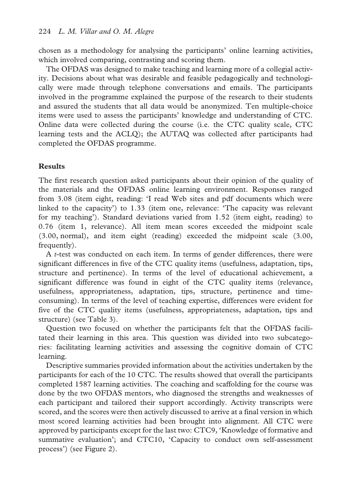chosen as a methodology for analysing the participants' online learning activities, which involved comparing, contrasting and scoring them.

The OFDAS was designed to make teaching and learning more of a collegial activity. Decisions about what was desirable and feasible pedagogically and technologically were made through telephone conversations and emails. The participants involved in the programme explained the purpose of the research to their students and assured the students that all data would be anonymized. Ten multiple-choice items were used to assess the participants' knowledge and understanding of CTC. Online data were collected during the course (i.e. the CTC quality scale, CTC learning tests and the ACLQ); the AUTAQ was collected after participants had completed the OFDAS programme.

## **Results**

The first research question asked participants about their opinion of the quality of the materials and the OFDAS online learning environment. Responses ranged from 3.08 (item eight, reading: 'I read Web sites and pdf documents which were linked to the capacity') to 1.33 (item one, relevance: 'The capacity was relevant for my teaching'). Standard deviations varied from 1.52 (item eight, reading) to 0.76 (item 1, relevance). All item mean scores exceeded the midpoint scale (3.00, normal), and item eight (reading) exceeded the midpoint scale (3.00, frequently).

A *t-*test was conducted on each item. In terms of gender differences, there were significant differences in five of the CTC quality items (usefulness, adaptation, tips, structure and pertinence). In terms of the level of educational achievement, a significant difference was found in eight of the CTC quality items (relevance, usefulness, appropriateness, adaptation, tips, structure, pertinence and timeconsuming). In terms of the level of teaching expertise, differences were evident for five of the CTC quality items (usefulness, appropriateness, adaptation, tips and structure) (see Table 3).

Question two focused on whether the participants felt that the OFDAS facilitated their learning in this area. This question was divided into two subcategories: facilitating learning activities and assessing the cognitive domain of CTC learning.

Descriptive summaries provided information about the activities undertaken by the participants for each of the 10 CTC. The results showed that overall the participants completed 1587 learning activities. The coaching and scaffolding for the course was done by the two OFDAS mentors, who diagnosed the strengths and weaknesses of each participant and tailored their support accordingly. Activity transcripts were scored, and the scores were then actively discussed to arrive at a final version in which most scored learning activities had been brought into alignment. All CTC were approved by participants except for the last two: CTC9, 'Knowledge of formative and summative evaluation'; and CTC10, 'Capacity to conduct own self-assessment process') (see Figure 2).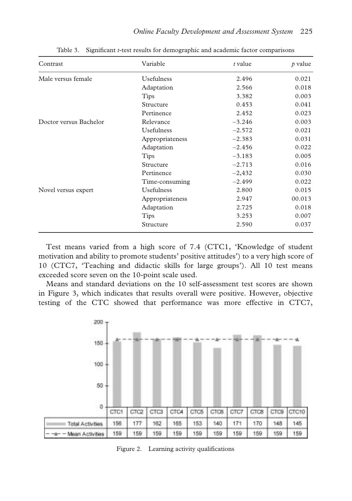| Contrast               | Variable          | $t$ value | $\rho$ value |
|------------------------|-------------------|-----------|--------------|
| Male versus female     | <b>Usefulness</b> | 2.496     | 0.021        |
|                        | Adaptation        | 2.566     | 0.018        |
|                        | <b>Tips</b>       | 3.382     | 0.003        |
|                        | Structure         | 0.453     | 0.041        |
|                        | Pertinence        | 2.452     | 0.023        |
| Doctor versus Bachelor | Relevance         | $-3.246$  | 0.003        |
|                        | Usefulness        | $-2.572$  | 0.021        |
|                        | Appropriateness   | $-2.383$  | 0.031        |
|                        | Adaptation        | $-2.456$  | 0.022        |
|                        | Tips              | $-3.183$  | 0.005        |
|                        | Structure         | $-2.713$  | 0.016        |
|                        | Pertinence        | $-2,432$  | 0.030        |
|                        | Time-consuming    | $-2.499$  | 0.022        |
| Novel versus expert    | <b>Usefulness</b> | 2.800     | 0.015        |
|                        | Appropriateness   | 2.947     | 00.013       |
|                        | Adaptation        | 2.725     | 0.018        |
|                        | <b>Tips</b>       | 3.253     | 0.007        |
|                        | Structure         | 2.590     | 0.037        |

Table 3. Significant *t*-test results for demographic and academic factor comparisons

Test means varied from a high score of 7.4 (CTC1, 'Knowledge of student motivation and ability to promote students' positive attitudes') to a very high score of 10 (CTC7, 'Teaching and didactic skills for large groups'). All 10 test means exceeded score seven on the 10-point scale used.

Means and standard deviations on the 10 self-assessment test scores are shown in Figure 3, which indicates that results overall were positive. However, objective testing of the CTC showed that performance was more effective in CTC7,



Figure 2. Learning activity qualifications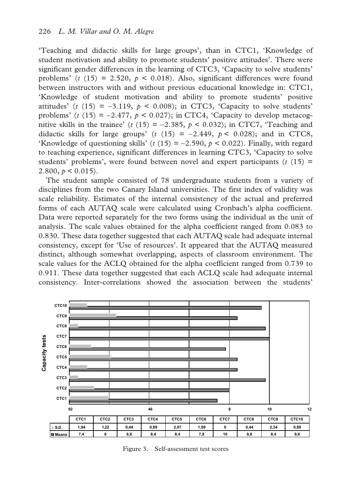'Teaching and didactic skills for large groups', than in CTC1, 'Knowledge of student motivation and ability to promote students' positive attitudes'. There were significant gender differences in the learning of CTC3, 'Capacity to solve students' problems'  $(t (15) = 2.520, p < 0.018)$ . Also, significant differences were found between instructors with and without previous educational knowledge in: CTC1, 'Knowledge of student motivation and ability to promote students' positive attitudes'  $(t (15) = -3.119, p < 0.008)$ ; in CTC3, 'Capacity to solve students' problems' ( $t(15) = -2.477$ ,  $p < 0.027$ ); in CTC4, 'Capacity to develop metacognitive skills in the trainee'  $(t(15) = -2.385, p < 0.032)$ ; in CTC7, 'Teaching and didactic skills for large groups' ( $t$  (15) = −2.449,  $p < 0.028$ ); and in CTC8, 'Knowledge of questioning skills' ( $t$  (15) = −2.590,  $p$  < 0.022). Finally, with regard to teaching experience, significant differences in learning CTC3, 'Capacity to solve students' problems', were found between novel and expert participants  $(t \text{ (15)}$  = 2.800,  $p < 0.015$ ).

The student sample consisted of 78 undergraduate students from a variety of disciplines from the two Canary Island universities. The first index of validity was scale reliability. Estimates of the internal consistency of the actual and preferred forms of each AUTAQ scale were calculated using Cronbach's alpha coefficient. Data were reported separately for the two forms using the individual as the unit of analysis. The scale values obtained for the alpha coefficient ranged from 0.083 to 0.830. These data together suggested that each AUTAQ scale had adequate internal consistency, except for 'Use of resources'. It appeared that the AUTAQ measured distinct, although somewhat overlapping, aspects of classroom environment. The scale values for the ACLQ obtained for the alpha coefficient ranged from 0.739 to 0.911. These data together suggested that each ACLQ scale had adequate internal consistency. Inter-correlations showed the association between the students'



Figure 3. Self-assessment test scores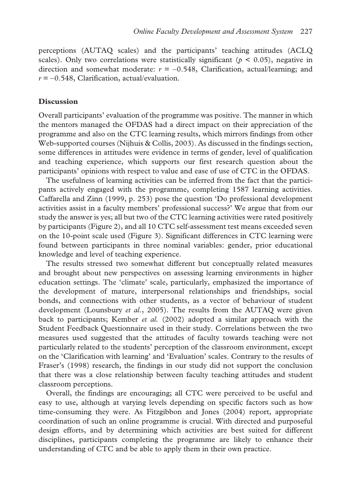perceptions (AUTAQ scales) and the participants' teaching attitudes (ACLQ scales). Only two correlations were statistically significant ( $p < 0.05$ ), negative in direction and somewhat moderate:  $r = -0.548$ , Clarification, actual/learning; and *r* = −0.548, Clarification, actual/evaluation.

## **Discussion**

Overall participants' evaluation of the programme was positive. The manner in which the mentors managed the OFDAS had a direct impact on their appreciation of the programme and also on the CTC learning results, which mirrors findings from other Web-supported courses (Nijhuis & Collis, 2003). As discussed in the findings section, some differences in attitudes were evidence in terms of gender, level of qualification and teaching experience, which supports our first research question about the participants' opinions with respect to value and ease of use of CTC in the OFDAS.

The usefulness of learning activities can be inferred from the fact that the participants actively engaged with the programme, completing 1587 learning activities. Caffarella and Zinn (1999, p. 253) pose the question 'Do professional development activities assist in a faculty members' professional success?' We argue that from our study the answer is yes; all but two of the CTC learning activities were rated positively by participants (Figure 2), and all 10 CTC self-assessment test means exceeded seven on the 10-point scale used (Figure 3). Significant differences in CTC learning were found between participants in three nominal variables: gender, prior educational knowledge and level of teaching experience.

The results stressed two somewhat different but conceptually related measures and brought about new perspectives on assessing learning environments in higher education settings. The 'climate' scale, particularly, emphasized the importance of the development of mature, interpersonal relationships and friendships, social bonds, and connections with other students, as a vector of behaviour of student development (Lounsbury *et al.*, 2005). The results from the AUTAQ were given back to participants; Kember *et al.* (2002) adopted a similar approach with the Student Feedback Questionnaire used in their study. Correlations between the two measures used suggested that the attitudes of faculty towards teaching were not particularly related to the students' perception of the classroom environment, except on the 'Clarification with learning' and 'Evaluation' scales. Contrary to the results of Fraser's (1998) research, the findings in our study did not support the conclusion that there was a close relationship between faculty teaching attitudes and student classroom perceptions.

Overall, the findings are encouraging; all CTC were perceived to be useful and easy to use, although at varying levels depending on specific factors such as how time-consuming they were. As Fitzgibbon and Jones (2004) report, appropriate coordination of such an online programme is crucial. With directed and purposeful design efforts, and by determining which activities are best suited for different disciplines, participants completing the programme are likely to enhance their understanding of CTC and be able to apply them in their own practice.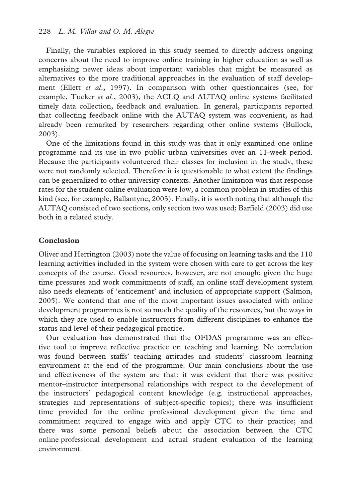Finally, the variables explored in this study seemed to directly address ongoing concerns about the need to improve online training in higher education as well as emphasizing newer ideas about important variables that might be measured as alternatives to the more traditional approaches in the evaluation of staff development (Ellett *et al*., 1997). In comparison with other questionnaires (see, for example, Tucker *et al.*, 2003), the ACLQ and AUTAQ online systems facilitated timely data collection, feedback and evaluation. In general, participants reported that collecting feedback online with the AUTAQ system was convenient, as had already been remarked by researchers regarding other online systems (Bullock, 2003).

One of the limitations found in this study was that it only examined one online programme and its use in two public urban universities over an 11-week period. Because the participants volunteered their classes for inclusion in the study, these were not randomly selected. Therefore it is questionable to what extent the findings can be generalized to other university contexts. Another limitation was that response rates for the student online evaluation were low, a common problem in studies of this kind (see, for example, Ballantyne, 2003). Finally, it is worth noting that although the AUTAQ consisted of two sections, only section two was used; Barfield (2003) did use both in a related study.

## **Conclusion**

Oliver and Herrington (2003) note the value of focusing on learning tasks and the 110 learning activities included in the system were chosen with care to get across the key concepts of the course. Good resources, however, are not enough; given the huge time pressures and work commitments of staff, an online staff development system also needs elements of 'enticement' and inclusion of appropriate support (Salmon, 2005). We contend that one of the most important issues associated with online development programmes is not so much the quality of the resources, but the ways in which they are used to enable instructors from different disciplines to enhance the status and level of their pedagogical practice.

Our evaluation has demonstrated that the OFDAS programme was an effective tool to improve reflective practice on teaching and learning. No correlation was found between staffs' teaching attitudes and students' classroom learning environment at the end of the programme. Our main conclusions about the use and effectiveness of the system are that: it was evident that there was positive mentor–instructor interpersonal relationships with respect to the development of the instructors' pedagogical content knowledge (e.g. instructional approaches, strategies and representations of subject-specific topics); there was insufficient time provided for the online professional development given the time and commitment required to engage with and apply CTC to their practice; and there was some personal beliefs about the association between the CTC online professional development and actual student evaluation of the learning environment.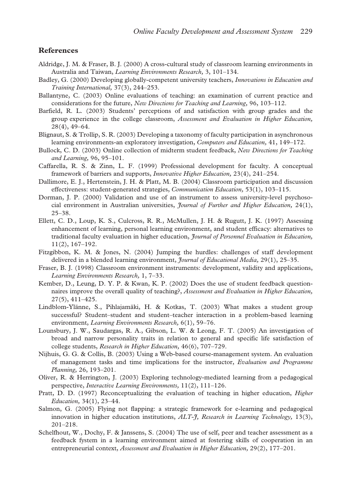#### **References**

- Aldridge, J. M. & Fraser, B. J. (2000) A cross-cultural study of classroom learning environments in Australia and Taiwan, *Learning Environments Research,* 3, 101–134.
- Badley, G. (2000) Developing globally-competent university teachers, *Innovations in Education and Training International,* 37(3), 244–253.
- Ballantyne, C. (2003) Online evaluations of teaching: an examination of current practice and considerations for the future, *New Directions for Teaching and Learning,* 96, 103–112.
- Barfield, R. L. (2003) Students' perceptions of and satisfaction with group grades and the group experience in the college classroom, *Assessment and Evaluation in Higher Education,* 28(4), 49–64.
- Blignaut, S. & Trollip, S. R. (2003) Developing a taxonomy of faculty participation in asynchronous learning environments-an exploratory investigation, *Computers and Education,* 41, 149–172.
- Bullock, C. D. (2003) Online collection of midterm student feedback, *New Directions for Teaching and Learning,* 96, 95–101.
- Caffarella, R. S. & Zinn, L. F. (1999) Professional development for faculty. A conceptual framework of barriers and supports, *Innovative Higher Education,* 23(4), 241–254.
- Dallimore, E. J., Hertenstein, J. H. & Platt, M. B. (2004) Classroom participation and discussion effectiveness: student-generated strategies, *Communication Education,* 53(1), 103–115.
- Dorman, J. P. (2000) Validation and use of an instrument to assess university-level psychosocial environment in Australian universities, *Journal of Further and Higher Education,* 24(1), 25–38.
- Ellett, C. D., Loup, K. S., Culcross, R. R., McMullen, J. H. & Rugutt, J. K. (1997) Assessing enhancement of learning, personal learning environment, and student efficacy: alternatives to traditional faculty evaluation in higher education, *Journal of Personnel Evaluation in Education,* 11(2), 167–192.
- Fitzgibbon, K. M. & Jones, N. (2004) Jumping the hurdles: challenges of staff development delivered in a blended learning environment, *Journal of Educational Media,* 29(1), 25–35.
- Fraser, B. J. (1998) Classroom environment instruments: development, validity and applications, *Learning Environments Research,* 1, 7–33.
- Kember, D., Leung, D. Y. P. & Kwan, K. P. (2002) Does the use of student feedback questionnaires improve the overall quality of teaching?, *Assessment and Evaluation in Higher Education,* 27(5), 411–425.
- Lindblom-Ylänne, S., Pihlajamäki, H. & Kotkas, T. (2003) What makes a student group successful? Student–student and student–teacher interaction in a problem-based learning environment, *Learning Environments Research,* 6(1), 59–76.
- Lounsbury, J. W., Saudargas, R. A., Gibson, L. W. & Leong, F. T. (2005) An investigation of broad and narrow personality traits in relation to general and specific life satisfaction of college students, *Research in Higher Education,* 46(6), 707–729.
- Nijhuis, G. G. & Collis, B. (2003) Using a Web-based course-management system. An evaluation of management tasks and time implications for the instructor, *Evaluation and Programme Planning,* 26, 193–201.
- Oliver, R. & Herrington, J. (2003) Exploring technology-mediated learning from a pedagogical perspective, *Interactive Learning Environments,* 11(2), 111–126.
- Pratt, D. D. (1997) Reconceptualizing the evaluation of teaching in higher education, *Higher Education,* 34(1), 23–44.
- Salmon, G. (2005) Flying not flapping: a strategic framework for e-learning and pedagogical innovation in higher education institutions, *ALT-J, Research in Learning Technology,* 13(3), 201–218.
- Schelfhout, W., Dochy, F. & Janssens, S. (2004) The use of self, peer and teacher assessment as a feedback fystem in a learning environment aimed at fostering skills of cooperation in an entrepreneurial context, *Assessment and Evaluation in Higher Education,* 29(2), 177–201.